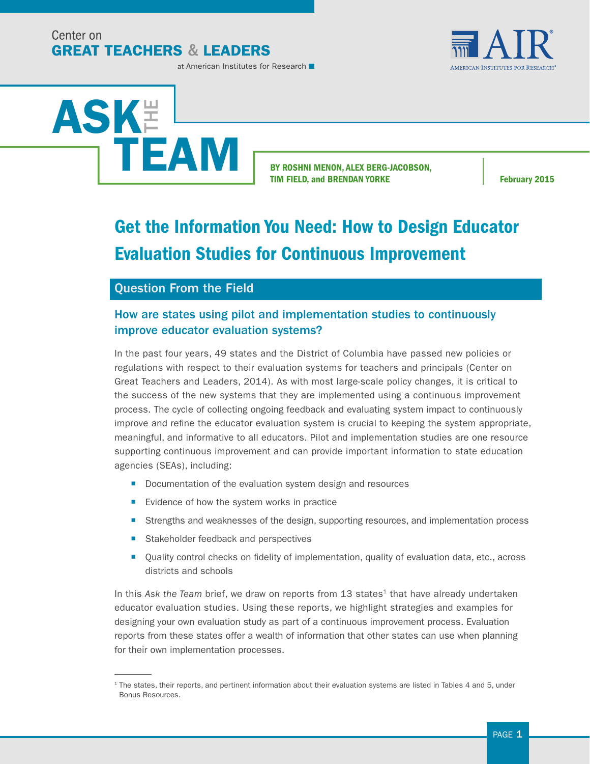Center on **GREAT TEACHERS & LEADERS** 



at American Institutes for Research



BY ROSHNI MENON, ALEX BERG-JACOBSON, TIM FIELD, and BRENDAN YORKE February 2015

# Get the Information You Need: How to Design Educator Evaluation Studies for Continuous Improvement

### Question From the Field

### How are states using pilot and implementation studies to continuously improve educator evaluation systems?

In the past four years, 49 states and the District of Columbia have passed new policies or regulations with respect to their evaluation systems for teachers and principals (Center on Great Teachers and Leaders, 2014). As with most large-scale policy changes, it is critical to the success of the new systems that they are implemented using a continuous improvement process. The cycle of collecting ongoing feedback and evaluating system impact to continuously improve and refine the educator evaluation system is crucial to keeping the system appropriate, meaningful, and informative to all educators. Pilot and implementation studies are one resource supporting continuous improvement and can provide important information to state education agencies (SEAs), including:

- Documentation of the evaluation system design and resources
- Evidence of how the system works in practice
- Strengths and weaknesses of the design, supporting resources, and implementation process
- Stakeholder feedback and perspectives
- Quality control checks on fidelity of implementation, quality of evaluation data, etc., across districts and schools

In this Ask the Team brief, we draw on reports from 13 states<sup>1</sup> that have already undertaken educator evaluation studies. Using these reports, we highlight strategies and examples for designing your own evaluation study as part of a continuous improvement process. Evaluation reports from these states offer a wealth of information that other states can use when planning for their own implementation processes.

<sup>1</sup> The states, their reports, and pertinent information about their evaluation systems are listed in Tables 4 and 5, under Bonus Resources.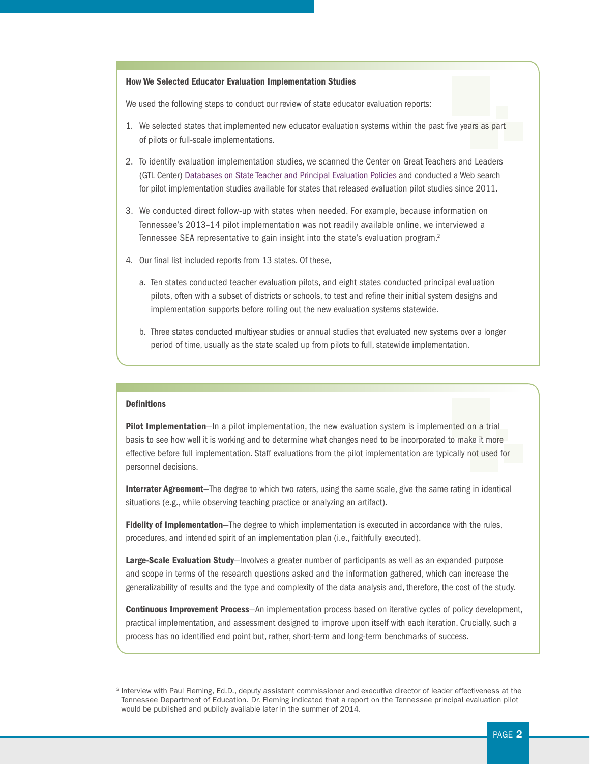#### How We Selected Educator Evaluation Implementation Studies

We used the following steps to conduct our review of state educator evaluation reports:

- 1. We selected states that implemented new educator evaluation systems within the past five years as part of pilots or full-scale implementations.
- 2. To identify evaluation implementation studies, we scanned the Center on Great Teachers and Leaders (GTL Center) [Databases on State Teacher and Principal Evaluation Policies](http://resource.tqsource.org/stateevaldb/Compare50States.aspx) and conducted a Web search for pilot implementation studies available for states that released evaluation pilot studies since 2011.
- 3. We conducted direct follow-up with states when needed. For example, because information on Tennessee's 2013–14 pilot implementation was not readily available online, we interviewed a Tennessee SEA representative to gain insight into the state's evaluation program.<sup>2</sup>
- 4. Our final list included reports from 13 states. Of these,
	- a. Ten states conducted teacher evaluation pilots, and eight states conducted principal evaluation pilots, often with a subset of districts or schools, to test and refine their initial system designs and implementation supports before rolling out the new evaluation systems statewide.
	- b. Three states conducted multiyear studies or annual studies that evaluated new systems over a longer period of time, usually as the state scaled up from pilots to full, statewide implementation.

#### **Definitions**

**Pilot Implementation**—In a pilot implementation, the new evaluation system is implemented on a trial basis to see how well it is working and to determine what changes need to be incorporated to make it more effective before full implementation. Staff evaluations from the pilot implementation are typically not used for personnel decisions.

Interrater Agreement-The degree to which two raters, using the same scale, give the same rating in identical situations (e.g., while observing teaching practice or analyzing an artifact).

Fidelity of Implementation–The degree to which implementation is executed in accordance with the rules, procedures, and intended spirit of an implementation plan (i.e., faithfully executed).

Large-Scale Evaluation Study-Involves a greater number of participants as well as an expanded purpose and scope in terms of the research questions asked and the information gathered, which can increase the generalizability of results and the type and complexity of the data analysis and, therefore, the cost of the study.

**Continuous Improvement Process**—An implementation process based on iterative cycles of policy development, practical implementation, and assessment designed to improve upon itself with each iteration. Crucially, such a process has no identified end point but, rather, short-term and long-term benchmarks of success.

<sup>&</sup>lt;sup>2</sup> Interview with Paul Fleming, Ed.D., deputy assistant commissioner and executive director of leader effectiveness at the Tennessee Department of Education. Dr. Fleming indicated that a report on the Tennessee principal evaluation pilot would be published and publicly available later in the summer of 2014.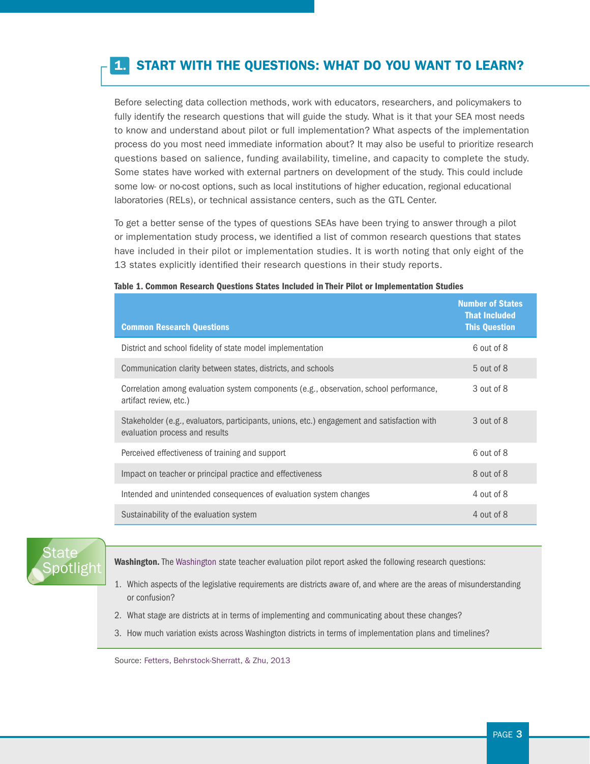# 1. START WITH THE QUESTIONS: WHAT DO YOU WANT TO LEARN?

Before selecting data collection methods, work with educators, researchers, and policymakers to fully identify the research questions that will guide the study. What is it that your SEA most needs to know and understand about pilot or full implementation? What aspects of the implementation process do you most need immediate information about? It may also be useful to prioritize research questions based on salience, funding availability, timeline, and capacity to complete the study. Some states have worked with external partners on development of the study. This could include some low- or no-cost options, such as local institutions of higher education, regional educational laboratories (RELs), or technical assistance centers, such as the GTL Center.

To get a better sense of the types of questions SEAs have been trying to answer through a pilot or implementation study process, we identified a list of common research questions that states have included in their pilot or implementation studies. It is worth noting that only eight of the 13 states explicitly identified their research questions in their study reports.

| <b>Common Research Questions</b>                                                                                              | <b>Number of States</b><br><b>That Included</b><br><b>This Question</b> |
|-------------------------------------------------------------------------------------------------------------------------------|-------------------------------------------------------------------------|
| District and school fidelity of state model implementation                                                                    | 6 out of 8                                                              |
| Communication clarity between states, districts, and schools                                                                  | 5 out of 8                                                              |
| Correlation among evaluation system components (e.g., observation, school performance,<br>artifact review, etc.)              | 3 out of 8                                                              |
| Stakeholder (e.g., evaluators, participants, unions, etc.) engagement and satisfaction with<br>evaluation process and results | 3 out of 8                                                              |
| Perceived effectiveness of training and support                                                                               | 6 out of 8                                                              |
| Impact on teacher or principal practice and effectiveness                                                                     | 8 out of 8                                                              |
| Intended and unintended consequences of evaluation system changes                                                             | 4 out of 8                                                              |
| Sustainability of the evaluation system                                                                                       | 4 out of 8                                                              |

#### Table 1. Common Research Questions States Included in Their Pilot or Implementation Studies



Washington. The [Washington](http://tpep-wa.org/wp-content/uploads/AIR%20TPEP%202012-2013%20Report.pdf) state teacher evaluation pilot report asked the following research questions:

- 1. Which aspects of the legislative requirements are districts aware of, and where are the areas of misunderstanding or confusion?
- 2. What stage are districts at in terms of implementing and communicating about these changes?
- 3. How much variation exists across Washington districts in terms of implementation plans and timelines?

Source: [Fetters, Behrstock-Sherratt, & Zhu, 2013](http://tpep-wa.org/wp-content/uploads/AIR%20TPEP%202012-2013%20Report.pdf)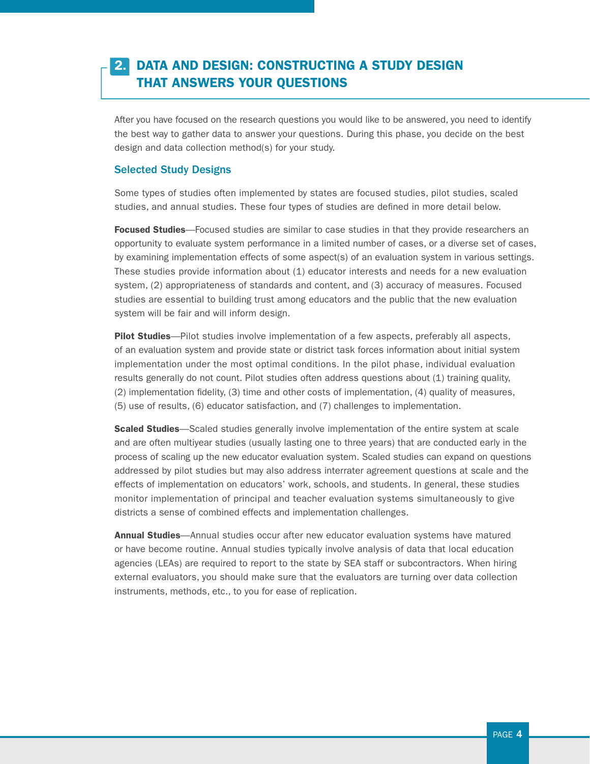### 2. DATA AND DESIGN: CONSTRUCTING A STUDY DESIGN THAT ANSWERS YOUR QUESTIONS

After you have focused on the research questions you would like to be answered, you need to identify the best way to gather data to answer your questions. During this phase, you decide on the best design and data collection method(s) for your study.

#### Selected Study Designs

Some types of studies often implemented by states are focused studies, pilot studies, scaled studies, and annual studies. These four types of studies are defined in more detail below.

Focused Studies—Focused studies are similar to case studies in that they provide researchers an opportunity to evaluate system performance in a limited number of cases, or a diverse set of cases, by examining implementation effects of some aspect(s) of an evaluation system in various settings. These studies provide information about (1) educator interests and needs for a new evaluation system, (2) appropriateness of standards and content, and (3) accuracy of measures. Focused studies are essential to building trust among educators and the public that the new evaluation system will be fair and will inform design.

**Pilot Studies**—Pilot studies involve implementation of a few aspects, preferably all aspects, of an evaluation system and provide state or district task forces information about initial system implementation under the most optimal conditions. In the pilot phase, individual evaluation results generally do not count. Pilot studies often address questions about (1) training quality, (2) implementation fidelity, (3) time and other costs of implementation, (4) quality of measures, (5) use of results, (6) educator satisfaction, and (7) challenges to implementation.

Scaled Studies-Scaled studies generally involve implementation of the entire system at scale and are often multiyear studies (usually lasting one to three years) that are conducted early in the process of scaling up the new educator evaluation system. Scaled studies can expand on questions addressed by pilot studies but may also address interrater agreement questions at scale and the effects of implementation on educators' work, schools, and students. In general, these studies monitor implementation of principal and teacher evaluation systems simultaneously to give districts a sense of combined effects and implementation challenges.

Annual Studies—Annual studies occur after new educator evaluation systems have matured or have become routine. Annual studies typically involve analysis of data that local education agencies (LEAs) are required to report to the state by SEA staff or subcontractors. When hiring external evaluators, you should make sure that the evaluators are turning over data collection instruments, methods, etc., to you for ease of replication.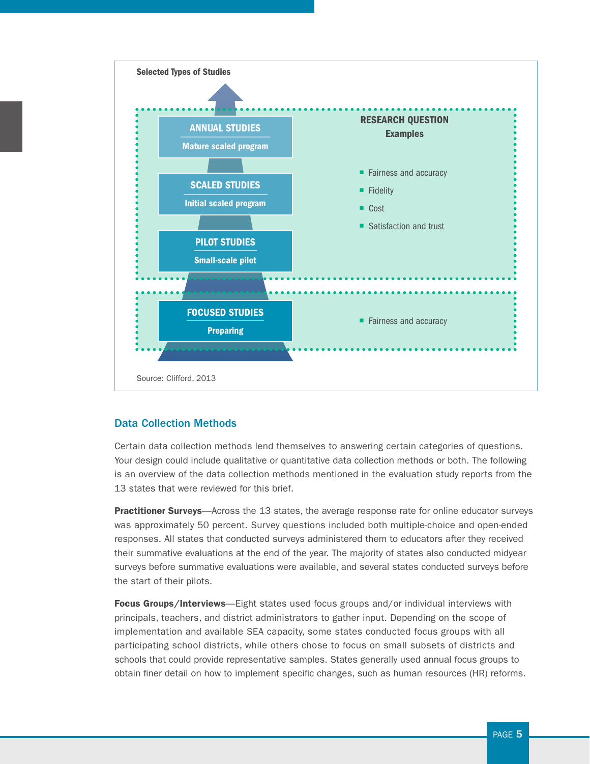

### Data Collection Methods

Certain data collection methods lend themselves to answering certain categories of questions. Your design could include qualitative or quantitative data collection methods or both. The following is an overview of the data collection methods mentioned in the evaluation study reports from the 13 states that were reviewed for this brief.

**Practitioner Surveys**—Across the 13 states, the average response rate for online educator surveys was approximately 50 percent. Survey questions included both multiple-choice and open-ended responses. All states that conducted surveys administered them to educators after they received their summative evaluations at the end of the year. The majority of states also conducted midyear surveys before summative evaluations were available, and several states conducted surveys before the start of their pilots.

Focus Groups/Interviews-Eight states used focus groups and/or individual interviews with principals, teachers, and district administrators to gather input. Depending on the scope of implementation and available SEA capacity, some states conducted focus groups with all participating school districts, while others chose to focus on small subsets of districts and schools that could provide representative samples. States generally used annual focus groups to obtain finer detail on how to implement specific changes, such as human resources (HR) reforms.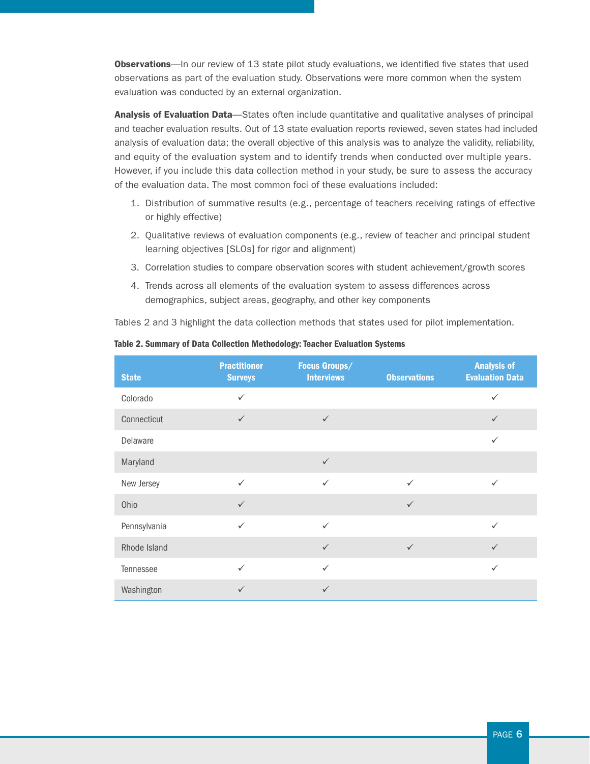Observations—In our review of 13 state pilot study evaluations, we identified five states that used observations as part of the evaluation study. Observations were more common when the system evaluation was conducted by an external organization.

Analysis of Evaluation Data—States often include quantitative and qualitative analyses of principal and teacher evaluation results. Out of 13 state evaluation reports reviewed, seven states had included analysis of evaluation data; the overall objective of this analysis was to analyze the validity, reliability, and equity of the evaluation system and to identify trends when conducted over multiple years. However, if you include this data collection method in your study, be sure to assess the accuracy of the evaluation data. The most common foci of these evaluations included:

- 1. Distribution of summative results (e.g., percentage of teachers receiving ratings of effective or highly effective)
- 2. Qualitative reviews of evaluation components (e.g., review of teacher and principal student learning objectives [SLOs] for rigor and alignment)
- 3. Correlation studies to compare observation scores with student achievement/growth scores
- 4. Trends across all elements of the evaluation system to assess differences across demographics, subject areas, geography, and other key components

Tables 2 and 3 highlight the data collection methods that states used for pilot implementation.

| <b>State</b> | <b>Practitioner</b><br><b>Surveys</b> | <b>Focus Groups/</b><br><b>Interviews</b> | <b>Observations</b> | <b>Analysis of</b><br><b>Evaluation Data</b> |
|--------------|---------------------------------------|-------------------------------------------|---------------------|----------------------------------------------|
| Colorado     | $\checkmark$                          |                                           |                     | $\checkmark$                                 |
| Connecticut  | $\checkmark$                          | $\checkmark$                              |                     | $\checkmark$                                 |
| Delaware     |                                       |                                           |                     | $\checkmark$                                 |
| Maryland     |                                       | $\checkmark$                              |                     |                                              |
| New Jersey   | $\checkmark$                          | $\checkmark$                              | $\checkmark$        | $\checkmark$                                 |
| Ohio         | $\checkmark$                          |                                           | $\checkmark$        |                                              |
| Pennsylvania | $\checkmark$                          | $\checkmark$                              |                     | $\checkmark$                                 |
| Rhode Island |                                       | $\checkmark$                              | $\checkmark$        | $\checkmark$                                 |
| Tennessee    | $\checkmark$                          | $\checkmark$                              |                     | $\checkmark$                                 |
| Washington   | $\checkmark$                          | $\checkmark$                              |                     |                                              |

Table 2. Summary of Data Collection Methodology: Teacher Evaluation Systems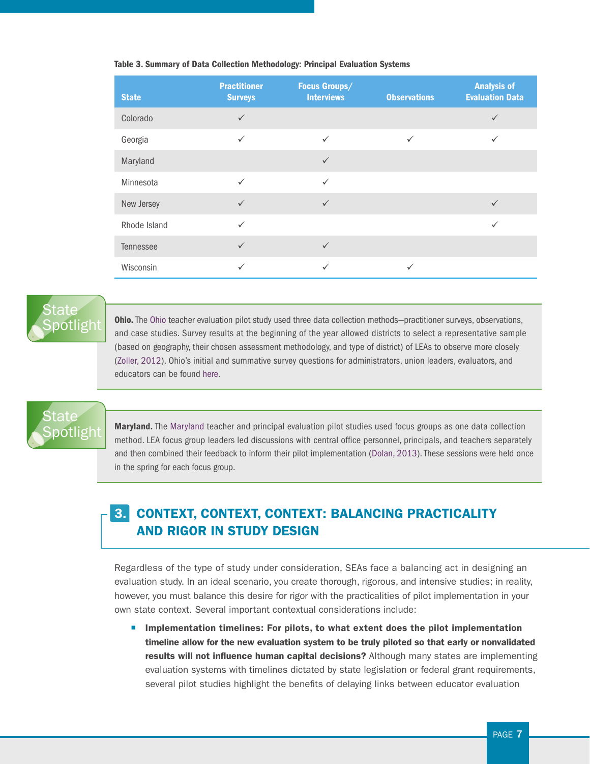| <b>State</b> | <b>Practitioner</b><br><b>Surveys</b> | <b>Focus Groups/</b><br><b>Interviews</b> | <b>Observations</b> | <b>Analysis of</b><br><b>Evaluation Data</b> |
|--------------|---------------------------------------|-------------------------------------------|---------------------|----------------------------------------------|
| Colorado     | $\checkmark$                          |                                           |                     | $\checkmark$                                 |
| Georgia      | $\checkmark$                          | $\checkmark$                              | $\checkmark$        | $\checkmark$                                 |
| Maryland     |                                       | $\checkmark$                              |                     |                                              |
| Minnesota    | $\checkmark$                          | $\checkmark$                              |                     |                                              |
| New Jersey   | $\checkmark$                          | $\checkmark$                              |                     | $\checkmark$                                 |
| Rhode Island | $\checkmark$                          |                                           |                     | $\checkmark$                                 |
| Tennessee    | $\checkmark$                          | $\checkmark$                              |                     |                                              |
| Wisconsin    | $\checkmark$                          | $\checkmark$                              | $\checkmark$        |                                              |

#### Table 3. Summary of Data Collection Methodology: Principal Evaluation Systems

# State<sup>®</sup> [Spotlight](http://education.ohio.gov/getattachment/Topics/Teaching/Educator-Evaluation-System/Ohio-s-Teacher-Evaluation-System/Additional-Information/5150-OTES-Final-Report-Appendices.pdf.aspx)

Ohio. The [Ohio](http://education.ohio.gov/getattachment/Topics/Teaching/Educator-Evaluation-System/Ohio-s-Teacher-Evaluation-System/Additional-Information/5150-OTES-Final-Report-Appendices.pdf.aspx) teacher evaluation pilot study used three data collection methods—practitioner surveys, observations, and case studies. Survey results at the beginning of the year allowed districts to select a representative sample (based on geography, their chosen assessment methodology, and type of district) of LEAs to observe more closely ([Zoller, 2012](http://education.ohio.gov/getattachment/Topics/Teaching/Educator-Evaluation-System/Ohio-s-Teacher-Evaluation-System/Additional-Information/5150-OTES-Final-Report-Appendices.pdf.aspx)). Ohio's initial and summative survey questions for administrators, union leaders, evaluators, and educators can be found [here](http://education.ohio.gov/getattachment/Topics/Teaching/Educator-Evaluation-System/Ohio-s-Teacher-Evaluation-System/Additional-Information/5150-OTES-Final-Report-Appendices.pdf.aspx).

# State<sup>®</sup> [Spotlight](http://msde.state.md.us/tpe/Exhibit_W_Field_Test_Rpt_Dolan.pdf)

Maryland. The [Maryland](http://msde.state.md.us/tpe/Exhibit_W_Field_Test_Rpt_Dolan.pdf) teacher and principal evaluation pilot studies used focus groups as one data collection method. LEA focus group leaders led discussions with central office personnel, principals, and teachers separately and then combined their feedback to inform their pilot implementation ([Dolan, 2013\)](http://msde.state.md.us/tpe/Exhibit_W_Field_Test_Rpt_Dolan.pdf). These sessions were held once in the spring for each focus group.

# 3. CONTEXT, CONTEXT, CONTEXT: BALANCING PRACTICALITY AND RIGOR IN STUDY DESIGN

Regardless of the type of study under consideration, SEAs face a balancing act in designing an evaluation study. In an ideal scenario, you create thorough, rigorous, and intensive studies; in reality, however, you must balance this desire for rigor with the practicalities of pilot implementation in your own state context. Several important contextual considerations include:

**• Implementation timelines: For pilots, to what extent does the pilot implementation** timeline allow for the new evaluation system to be truly piloted so that early or nonvalidated results will not influence human capital decisions? Although many states are implementing evaluation systems with timelines dictated by state legislation or federal grant requirements, several pilot studies highlight the benefits of delaying links between educator evaluation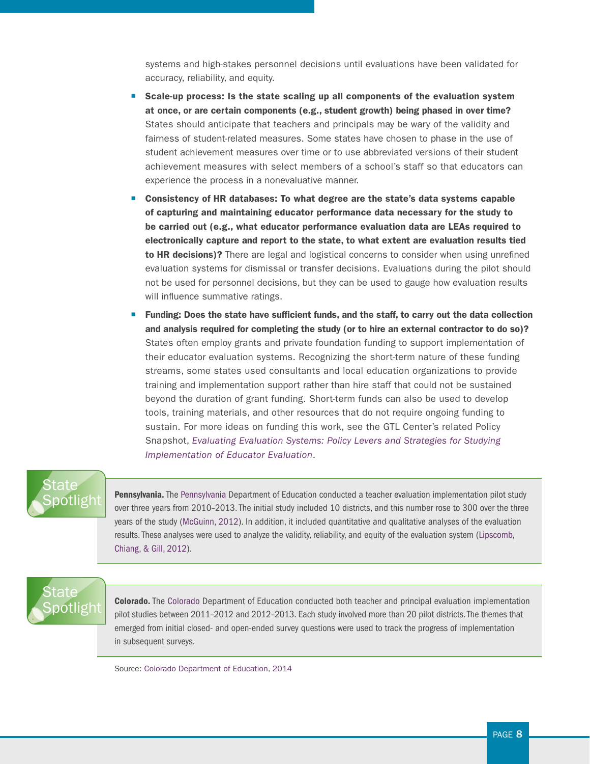systems and high-stakes personnel decisions until evaluations have been validated for accuracy, reliability, and equity.

- Scale-up process: Is the state scaling up all components of the evaluation system at once, or are certain components (e.g., student growth) being phased in over time? States should anticipate that teachers and principals may be wary of the validity and fairness of student-related measures. Some states have chosen to phase in the use of student achievement measures over time or to use abbreviated versions of their student achievement measures with select members of a school's staff so that educators can experience the process in a nonevaluative manner.
- Consistency of HR databases: To what degree are the state's data systems capable of capturing and maintaining educator performance data necessary for the study to be carried out (e.g., what educator performance evaluation data are LEAs required to electronically capture and report to the state, to what extent are evaluation results tied to HR decisions)? There are legal and logistical concerns to consider when using unrefined evaluation systems for dismissal or transfer decisions. Evaluations during the pilot should not be used for personnel decisions, but they can be used to gauge how evaluation results will influence summative ratings.
- **Funding: Does the state have sufficient funds, and the staff, to carry out the data collection** and analysis required for completing the study (or to hire an external contractor to do so)? States often employ grants and private foundation funding to support implementation of their educator evaluation systems. Recognizing the short-term nature of these funding streams, some states used consultants and local education organizations to provide training and implementation support rather than hire staff that could not be sustained beyond the duration of grant funding. Short-term funds can also be used to develop tools, training materials, and other resources that do not require ongoing funding to sustain. For more ideas on funding this work, see the GTL Center's related Policy Snapshot, *[Evaluating Evaluation Systems: Policy Levers and Strategies for Studying](www.gtlcenter.org/sites/default/files/Evaluating_Evaluation_Studies.pdf)  [Implementation of Educator Evaluation](www.gtlcenter.org/sites/default/files/Evaluating_Evaluation_Studies.pdf)*.

# State otlight

[Pennsylvania.](http://www.cpre.org/sites/default/files/researchreport/1495_mcguinnthestateofevaluation-final.pdf) The [Pennsylvania](http://www.cpre.org/sites/default/files/researchreport/1495_mcguinnthestateofevaluation-final.pdf) Department of Education conducted a teacher evaluation implementation pilot study over three years from 2010–2013. The initial study included 10 districts, and this number rose to 300 over the three years of the study ([McGuinn, 2012\)](http://www.cpre.org/sites/default/files/researchreport/1495_mcguinnthestateofevaluation-final.pdf). In addition, it included quantitative and qualitative analyses of the evaluation results. These analyses were used to analyze the validity, reliability, and equity of the evaluation system [\(Lipscomb,](http://teampa.com/wp-content/uploads/2012/04/Mathematica_Phase_1_Report_-_Full_Report.pdf)  [Chiang, & Gill, 2012\)](http://teampa.com/wp-content/uploads/2012/04/Mathematica_Phase_1_Report_-_Full_Report.pdf).

# State  $\mathsf{soft}$ ight

[Colorado.](http://co.chalkbeat.org/sites/default/files/sites/2/2014/01/PrincipalPilotReport1213.pdf) The [Colorado](http://co.chalkbeat.org/sites/default/files/sites/2/2014/01/PrincipalPilotReport1213.pdf) Department of Education conducted both teacher and principal evaluation implementation pilot studies between 2011–2012 and 2012–2013. Each study involved more than 20 pilot districts. The themes that emerged from initial closed- and open-ended survey questions were used to track the progress of implementation in subsequent surveys.

Source: [Colorado Department of Education, 2014](http://co.chalkbeat.org/sites/default/files/sites/2/2014/01/PrincipalPilotReport1213.pdf)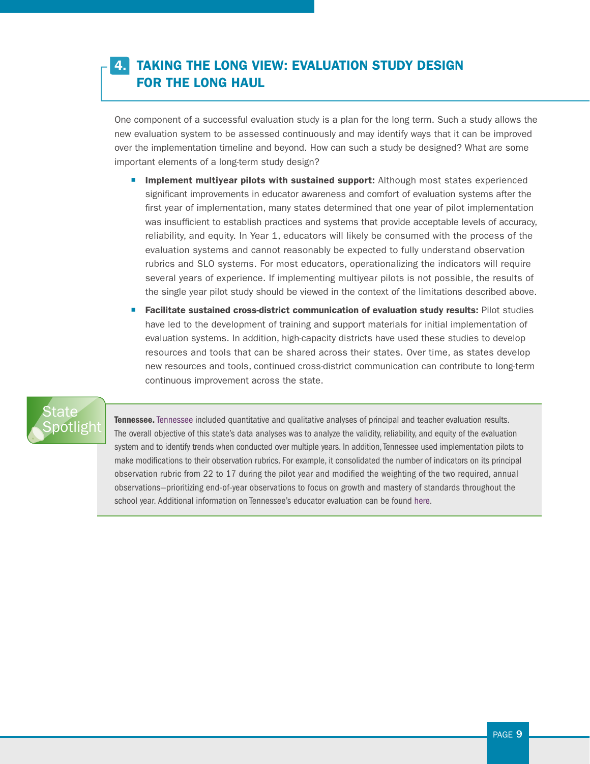# 4. TAKING THE LONG VIEW: EVALUATION STUDY DESIGN FOR THE LONG HAUL

One component of a successful evaluation study is a plan for the long term. Such a study allows the new evaluation system to be assessed continuously and may identify ways that it can be improved over the implementation timeline and beyond. How can such a study be designed? What are some important elements of a long-term study design?

- **Implement multiyear pilots with sustained support:** Although most states experienced significant improvements in educator awareness and comfort of evaluation systems after the first year of implementation, many states determined that one year of pilot implementation was insufficient to establish practices and systems that provide acceptable levels of accuracy, reliability, and equity. In Year 1, educators will likely be consumed with the process of the evaluation systems and cannot reasonably be expected to fully understand observation rubrics and SLO systems. For most educators, operationalizing the indicators will require several years of experience. If implementing multiyear pilots is not possible, the results of the single year pilot study should be viewed in the context of the limitations described above.
- **Facilitate sustained cross-district communication of evaluation study results:** Pilot studies have led to the development of training and support materials for initial implementation of evaluation systems. In addition, high-capacity districts have used these studies to develop resources and tools that can be shared across their states. Over time, as states develop new resources and tools, continued cross-district communication can contribute to long-term continuous improvement across the state.

# State<sup>®</sup> ootligh

[Tennessee](http://www.cpre.org/sites/default/files/researchreport/1495_mcguinnthestateofevaluation-final.pdf). Tennessee included quantitative and qualitative analyses of principal and teacher evaluation results. The overall objective of this state's data analyses was to analyze the validity, reliability, and equity of the evaluation system and to identify trends when conducted over multiple years. In addition, Tennessee used implementation pilots to make modifications to their observation rubrics. For example, it consolidated the number of indicators on its principal observation rubric from 22 to 17 during the pilot year and modified the weighting of the two required, annual observations—prioritizing end-of-year observations to focus on growth and mastery of standards throughout the school year. Additional information on Tennessee's educator evaluation can be found [here](http://www.tnconsortium.org/data/files/gallery/ContentGallery/Educator_Evaluation_in_Tennessee_Initial_Findings_from_the_2013_First_to_the_Top_Survey6.pdf).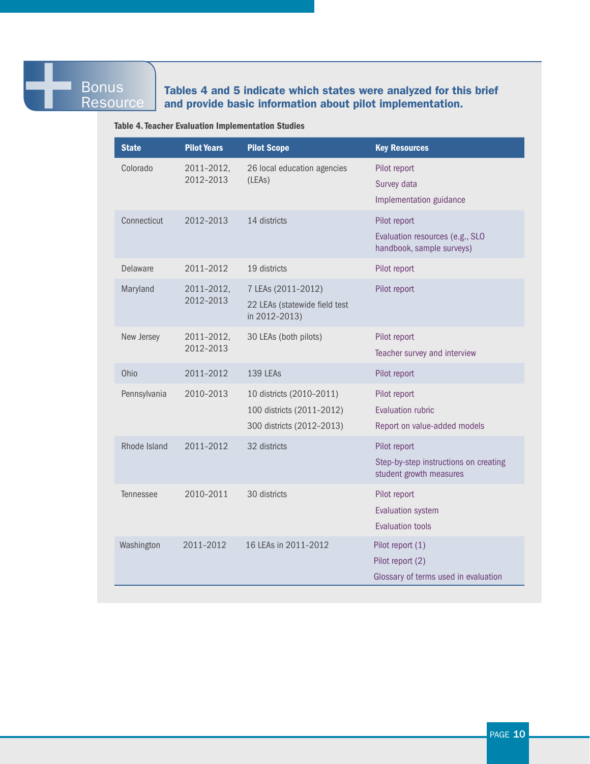### **Bonus Resource**

### Tables 4 and 5 indicate which states were analyzed for this brief and provide basic information about pilot implementation.

#### Table 4. Teacher Evaluation Implementation Studies

| <b>State</b>     | <b>Pilot Years</b>      | <b>Pilot Scope</b>                                                                 | <b>Key Resources</b>                                                             |
|------------------|-------------------------|------------------------------------------------------------------------------------|----------------------------------------------------------------------------------|
| Colorado         | 2011-2012,<br>2012-2013 | 26 local education agencies<br>(LEAs)                                              | Pilot report<br>Survey data<br>Implementation guidance                           |
| Connecticut      | 2012-2013               | 14 districts                                                                       | Pilot report<br>Evaluation resources (e.g., SLO<br>handbook, sample surveys)     |
| <b>Delaware</b>  | 2011-2012               | 19 districts                                                                       | Pilot report                                                                     |
| Maryland         | 2011-2012,<br>2012-2013 | 7 LEAs (2011-2012)<br>22 LEAs (statewide field test<br>in 2012-2013)               | Pilot report                                                                     |
| New Jersey       | 2011-2012,<br>2012-2013 | 30 LEAs (both pilots)                                                              | Pilot report<br>Teacher survey and interview                                     |
| Ohio             | 2011-2012               | 139 LEAs                                                                           | Pilot report                                                                     |
| Pennsylvania     | 2010-2013               | 10 districts (2010-2011)<br>100 districts (2011-2012)<br>300 districts (2012-2013) | Pilot report<br><b>Evaluation rubric</b><br>Report on value-added models         |
| Rhode Island     | 2011-2012               | 32 districts                                                                       | Pilot report<br>Step-by-step instructions on creating<br>student growth measures |
| <b>Tennessee</b> | 2010-2011               | 30 districts                                                                       | Pilot report<br><b>Evaluation system</b><br><b>Evaluation tools</b>              |
| Washington       | 2011-2012               | 16 LEAs in 2011-2012                                                               | Pilot report (1)<br>Pilot report (2)<br>Glossary of terms used in evaluation     |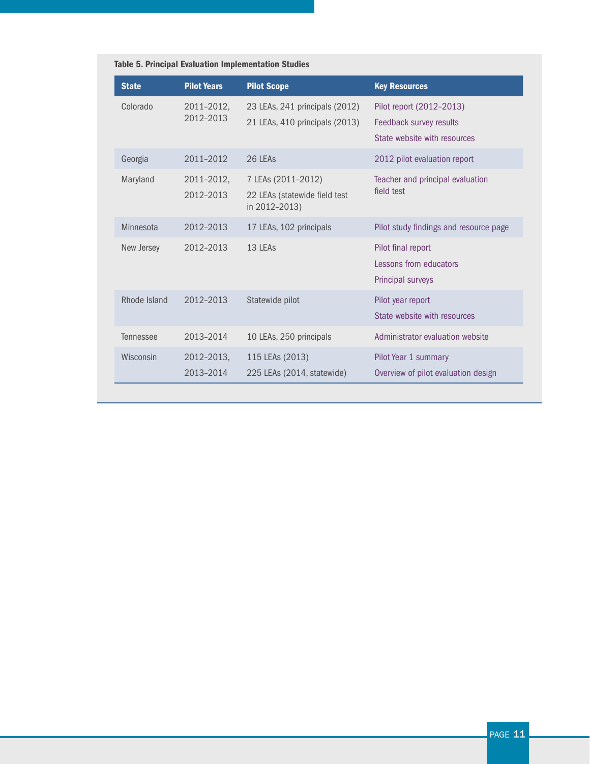| <b>State</b>     | <b>Pilot Years</b>      | <b>Pilot Scope</b>                                                   | <b>Key Resources</b>                                                                |
|------------------|-------------------------|----------------------------------------------------------------------|-------------------------------------------------------------------------------------|
| Colorado         | 2011-2012,<br>2012-2013 | 23 LEAs, 241 principals (2012)<br>21 LEAs, 410 principals (2013)     | Pilot report (2012-2013)<br>Feedback survey results<br>State website with resources |
| Georgia          | 2011-2012               | 26 LEAS                                                              | 2012 pilot evaluation report                                                        |
| Maryland         | 2011-2012,<br>2012-2013 | 7 LEAs (2011-2012)<br>22 LEAs (statewide field test<br>in 2012-2013) | Teacher and principal evaluation<br>field test                                      |
| Minnesota        | 2012-2013               | 17 LEAs, 102 principals                                              | Pilot study findings and resource page                                              |
| New Jersey       | 2012-2013               | 13 LEAs                                                              | Pilot final report<br>Lessons from educators<br>Principal surveys                   |
| Rhode Island     | 2012-2013               | Statewide pilot                                                      | Pilot year report<br>State website with resources                                   |
| <b>Tennessee</b> | 2013-2014               | 10 LEAs, 250 principals                                              | Administrator evaluation website                                                    |
| Wisconsin        | 2012-2013,<br>2013-2014 | 115 LEAs (2013)<br>225 LEAs (2014, statewide)                        | Pilot Year 1 summary<br>Overview of pilot evaluation design                         |